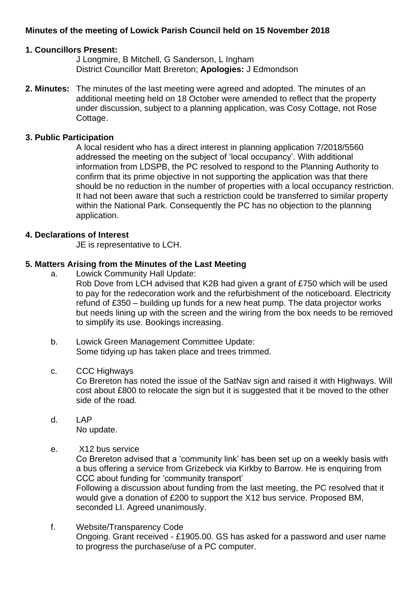# **Minutes of the meeting of Lowick Parish Council held on 15 November 2018**

### **1. Councillors Present:**

J Longmire, B Mitchell, G Sanderson, L Ingham District Councillor Matt Brereton; **Apologies:** J Edmondson

**2. Minutes:** The minutes of the last meeting were agreed and adopted. The minutes of an additional meeting held on 18 October were amended to reflect that the property under discussion, subject to a planning application, was Cosy Cottage, not Rose Cottage.

# **3. Public Participation**

A local resident who has a direct interest in planning application 7/2018/5560 addressed the meeting on the subject of 'local occupancy'. With additional information from LDSPB, the PC resolved to respond to the Planning Authority to confirm that its prime objective in not supporting the application was that there should be no reduction in the number of properties with a local occupancy restriction. It had not been aware that such a restriction could be transferred to similar property within the National Park. Consequently the PC has no objection to the planning application.

### **4. Declarations of Interest**

JE is representative to LCH.

# **5. Matters Arising from the Minutes of the Last Meeting**

- a. Lowick Community Hall Update:
	- Rob Dove from LCH advised that K2B had given a grant of £750 which will be used to pay for the redecoration work and the refurbishment of the noticeboard. Electricity refund of £350 – building up funds for a new heat pump. The data projector works but needs lining up with the screen and the wiring from the box needs to be removed to simplify its use. Bookings increasing.
- b. Lowick Green Management Committee Update: Some tidying up has taken place and trees trimmed.

### c. CCC Highways

Co Brereton has noted the issue of the SatNav sign and raised it with Highways. Will cost about £800 to relocate the sign but it is suggested that it be moved to the other side of the road.

- d. LAP No update.
- e. X12 bus service

Co Brereton advised that a 'community link' has been set up on a weekly basis with a bus offering a service from Grizebeck via Kirkby to Barrow. He is enquiring from CCC about funding for 'community transport'

Following a discussion about funding from the last meeting, the PC resolved that it would give a donation of £200 to support the X12 bus service. Proposed BM, seconded LI. Agreed unanimously.

f. Website/Transparency Code Ongoing. Grant received - £1905.00. GS has asked for a password and user name to progress the purchase/use of a PC computer.